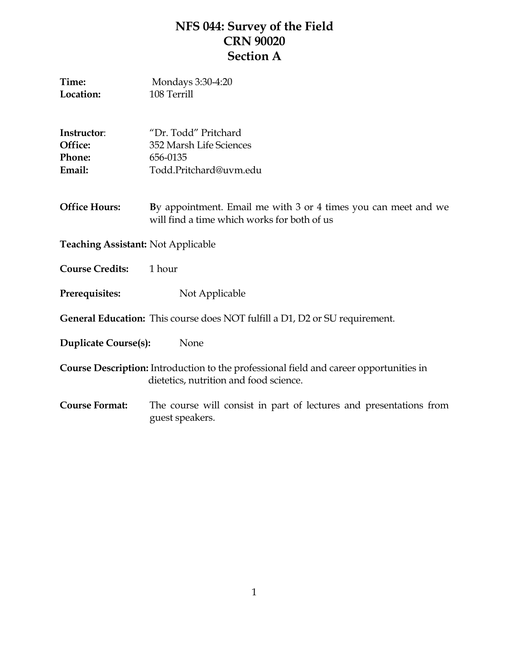# **NFS 044: Survey of the Field CRN 90020 Section A**

| Time:<br>Location:                         | Mondays 3:30-4:20<br>108 Terrill                                                                                                 |  |
|--------------------------------------------|----------------------------------------------------------------------------------------------------------------------------------|--|
| Instructor:<br>Office:<br>Phone:<br>Email: | "Dr. Todd" Pritchard<br>352 Marsh Life Sciences<br>656-0135<br>Todd.Pritchard@uvm.edu                                            |  |
| <b>Office Hours:</b>                       | By appointment. Email me with 3 or 4 times you can meet and we<br>will find a time which works for both of us                    |  |
| <b>Teaching Assistant: Not Applicable</b>  |                                                                                                                                  |  |
| <b>Course Credits:</b>                     | 1 hour                                                                                                                           |  |
| Prerequisites:                             | Not Applicable                                                                                                                   |  |
|                                            | <b>General Education:</b> This course does NOT fulfill a D1, D2 or SU requirement.                                               |  |
| <b>Duplicate Course(s):</b>                | None                                                                                                                             |  |
|                                            | Course Description: Introduction to the professional field and career opportunities in<br>dietetics, nutrition and food science. |  |
| <b>Course Format:</b>                      | The course will consist in part of lectures and presentations from<br>guest speakers.                                            |  |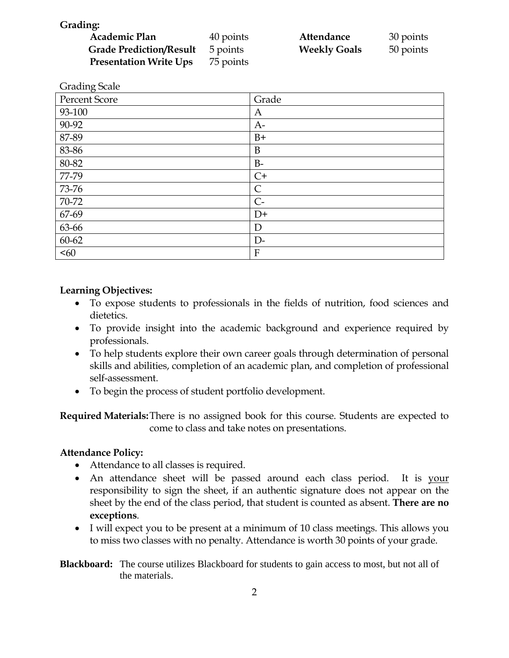**Grading:** 

| Academic Plan                  | 40 points | Attendance          | 30 points |
|--------------------------------|-----------|---------------------|-----------|
| <b>Grade Prediction/Result</b> | 5 points  | <b>Weekly Goals</b> | 50 points |
| <b>Presentation Write Ups</b>  | 75 points |                     |           |

| <b>Grading Scale</b> |              |
|----------------------|--------------|
| Percent Score        | Grade        |
| 93-100               | A            |
| 90-92                | $A-$         |
| 87-89                | $B+$         |
| 83-86                | B            |
| 80-82                | $B-$         |
| 77-79                | $C+$         |
| 73-76                | $\mathsf{C}$ |
| 70-72                | $C -$        |
| 67-69                | $D+$         |
| 63-66                | D            |
| 60-62                | $D-$         |
| < 60                 | $\mathbf{F}$ |

## **Learning Objectives:**

- To expose students to professionals in the fields of nutrition, food sciences and dietetics.
- To provide insight into the academic background and experience required by professionals.
- To help students explore their own career goals through determination of personal skills and abilities, completion of an academic plan, and completion of professional self-assessment.
- To begin the process of student portfolio development.

**Required Materials:**There is no assigned book for this course. Students are expected to come to class and take notes on presentations.

### **Attendance Policy:**

- Attendance to all classes is required.
- An attendance sheet will be passed around each class period. It is your responsibility to sign the sheet, if an authentic signature does not appear on the sheet by the end of the class period, that student is counted as absent. **There are no exceptions**.
- I will expect you to be present at a minimum of 10 class meetings. This allows you to miss two classes with no penalty. Attendance is worth 30 points of your grade.
- **Blackboard:** The course utilizes Blackboard for students to gain access to most, but not all of the materials.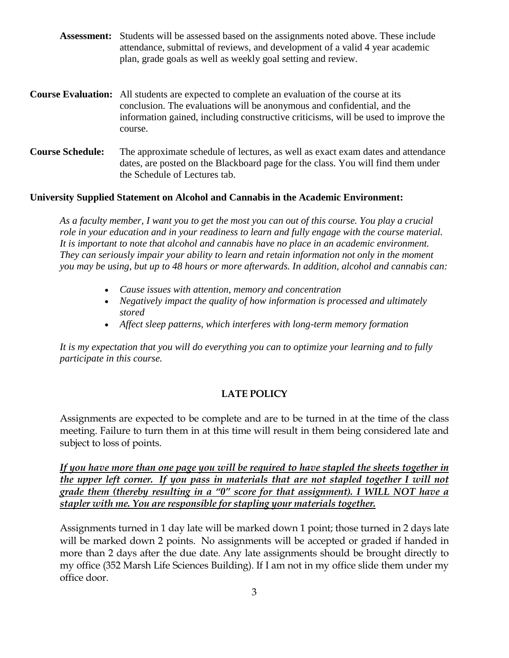|                         | <b>Assessment:</b> Students will be assessed based on the assignments noted above. These include<br>attendance, submittal of reviews, and development of a valid 4 year academic<br>plan, grade goals as well as weekly goal setting and review.                               |
|-------------------------|--------------------------------------------------------------------------------------------------------------------------------------------------------------------------------------------------------------------------------------------------------------------------------|
|                         | <b>Course Evaluation:</b> All students are expected to complete an evaluation of the course at its<br>conclusion. The evaluations will be anonymous and confidential, and the<br>information gained, including constructive criticisms, will be used to improve the<br>course. |
| <b>Course Schedule:</b> | The approximate schedule of lectures, as well as exact exam dates and attendance<br>dates, are posted on the Blackboard page for the class. You will find them under<br>the Schedule of Lectures tab.                                                                          |

#### **University Supplied Statement on Alcohol and Cannabis in the Academic Environment:**

*As a faculty member, I want you to get the most you can out of this course. You play a crucial role in your education and in your readiness to learn and fully engage with the course material. It is important to note that alcohol and cannabis have no place in an academic environment. They can seriously impair your ability to learn and retain information not only in the moment you may be using, but up to 48 hours or more afterwards. In addition, alcohol and cannabis can:*

- *Cause issues with attention, memory and concentration*
- *Negatively impact the quality of how information is processed and ultimately stored*
- *Affect sleep patterns, which interferes with long-term memory formation*

*It is my expectation that you will do everything you can to optimize your learning and to fully participate in this course.*

#### **LATE POLICY**

Assignments are expected to be complete and are to be turned in at the time of the class meeting. Failure to turn them in at this time will result in them being considered late and subject to loss of points.

*If you have more than one page you will be required to have stapled the sheets together in the upper left corner. If you pass in materials that are not stapled together I will not grade them (thereby resulting in a "0" score for that assignment). I WILL NOT have a stapler with me. You are responsible for stapling your materials together.*

Assignments turned in 1 day late will be marked down 1 point; those turned in 2 days late will be marked down 2 points. No assignments will be accepted or graded if handed in more than 2 days after the due date. Any late assignments should be brought directly to my office (352 Marsh Life Sciences Building). If I am not in my office slide them under my office door.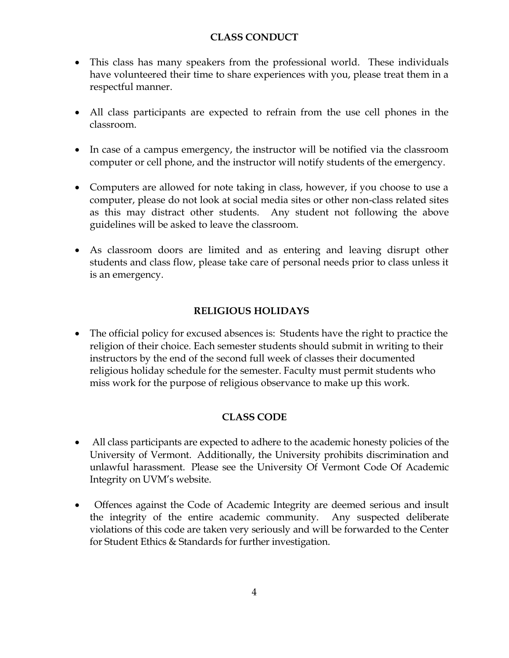# **CLASS CONDUCT**

- This class has many speakers from the professional world. These individuals have volunteered their time to share experiences with you, please treat them in a respectful manner.
- All class participants are expected to refrain from the use cell phones in the classroom.
- In case of a campus emergency, the instructor will be notified via the classroom computer or cell phone, and the instructor will notify students of the emergency.
- Computers are allowed for note taking in class, however, if you choose to use a computer, please do not look at social media sites or other non-class related sites as this may distract other students. Any student not following the above guidelines will be asked to leave the classroom.
- As classroom doors are limited and as entering and leaving disrupt other students and class flow, please take care of personal needs prior to class unless it is an emergency.

# **RELIGIOUS HOLIDAYS**

 The official policy for excused absences is: Students have the right to practice the religion of their choice. Each semester students should submit in writing to their instructors by the end of the second full week of classes their documented religious holiday schedule for the semester. Faculty must permit students who miss work for the purpose of religious observance to make up this work.

# **CLASS CODE**

- All class participants are expected to adhere to the academic honesty policies of the University of Vermont. Additionally, the University prohibits discrimination and unlawful harassment. Please see the University Of Vermont Code Of Academic Integrity on UVM's website.
- Offences against the Code of Academic Integrity are deemed serious and insult the integrity of the entire academic community. Any suspected deliberate violations of this code are taken very seriously and will be forwarded to the Center for Student Ethics & Standards for further investigation.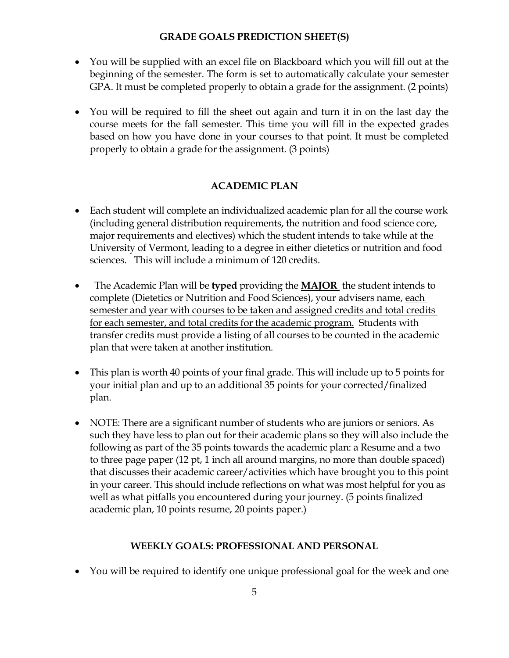# **GRADE GOALS PREDICTION SHEET(S)**

- You will be supplied with an excel file on Blackboard which you will fill out at the beginning of the semester. The form is set to automatically calculate your semester GPA. It must be completed properly to obtain a grade for the assignment. (2 points)
- You will be required to fill the sheet out again and turn it in on the last day the course meets for the fall semester. This time you will fill in the expected grades based on how you have done in your courses to that point. It must be completed properly to obtain a grade for the assignment. (3 points)

# **ACADEMIC PLAN**

- Each student will complete an individualized academic plan for all the course work (including general distribution requirements, the nutrition and food science core, major requirements and electives) which the student intends to take while at the University of Vermont, leading to a degree in either dietetics or nutrition and food sciences. This will include a minimum of 120 credits.
- The Academic Plan will be **typed** providing the **MAJOR** the student intends to complete (Dietetics or Nutrition and Food Sciences), your advisers name, each semester and year with courses to be taken and assigned credits and total credits for each semester, and total credits for the academic program. Students with transfer credits must provide a listing of all courses to be counted in the academic plan that were taken at another institution.
- This plan is worth 40 points of your final grade. This will include up to 5 points for your initial plan and up to an additional 35 points for your corrected/finalized plan.
- NOTE: There are a significant number of students who are juniors or seniors. As such they have less to plan out for their academic plans so they will also include the following as part of the 35 points towards the academic plan: a Resume and a two to three page paper (12 pt, 1 inch all around margins, no more than double spaced) that discusses their academic career/activities which have brought you to this point in your career. This should include reflections on what was most helpful for you as well as what pitfalls you encountered during your journey. (5 points finalized academic plan, 10 points resume, 20 points paper.)

### **WEEKLY GOALS: PROFESSIONAL AND PERSONAL**

You will be required to identify one unique professional goal for the week and one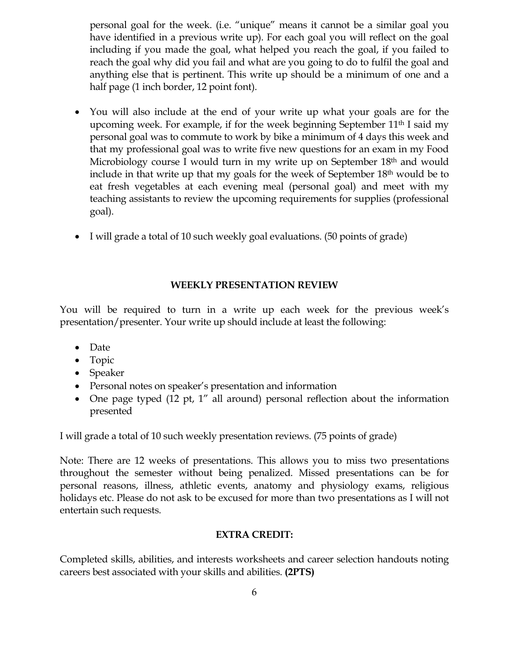personal goal for the week. (i.e. "unique" means it cannot be a similar goal you have identified in a previous write up). For each goal you will reflect on the goal including if you made the goal, what helped you reach the goal, if you failed to reach the goal why did you fail and what are you going to do to fulfil the goal and anything else that is pertinent. This write up should be a minimum of one and a half page (1 inch border, 12 point font).

- You will also include at the end of your write up what your goals are for the upcoming week. For example, if for the week beginning September 11th I said my personal goal was to commute to work by bike a minimum of 4 days this week and that my professional goal was to write five new questions for an exam in my Food Microbiology course I would turn in my write up on September 18<sup>th</sup> and would include in that write up that my goals for the week of September 18<sup>th</sup> would be to eat fresh vegetables at each evening meal (personal goal) and meet with my teaching assistants to review the upcoming requirements for supplies (professional goal).
- I will grade a total of 10 such weekly goal evaluations. (50 points of grade)

# **WEEKLY PRESENTATION REVIEW**

You will be required to turn in a write up each week for the previous week's presentation/presenter. Your write up should include at least the following:

- Date
- Topic
- Speaker
- Personal notes on speaker's presentation and information
- One page typed (12 pt, 1" all around) personal reflection about the information presented

I will grade a total of 10 such weekly presentation reviews. (75 points of grade)

Note: There are 12 weeks of presentations. This allows you to miss two presentations throughout the semester without being penalized. Missed presentations can be for personal reasons, illness, athletic events, anatomy and physiology exams, religious holidays etc. Please do not ask to be excused for more than two presentations as I will not entertain such requests.

# **EXTRA CREDIT:**

Completed skills, abilities, and interests worksheets and career selection handouts noting careers best associated with your skills and abilities. **(2PTS)**